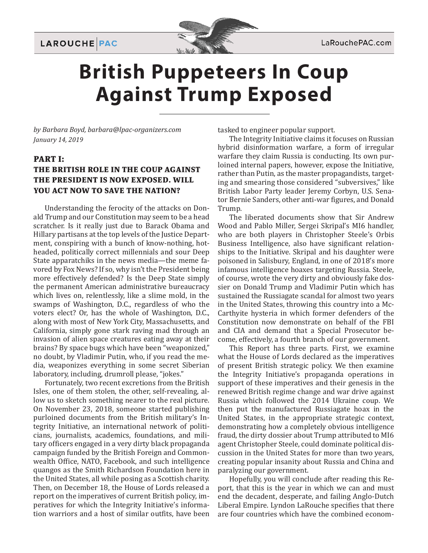



## **British Puppeteers In Coup Against Trump Exposed**

*by Barbara Boyd, barbara@lpac-organizers.com January 14, 2019*

#### **PART I: THE BRITISH ROLE IN THE COUP AGAINST THE PRESIDENT IS NOW EXPOSED. WILL YOU ACT NOW TO SAVE THE NATION?**

Understanding the ferocity of the attacks on Donald Trump and our Constitution may seem to be a head scratcher. Is it really just due to Barack Obama and Hillary partisans at the top levels of the Justice Department, conspiring with a bunch of know-nothing, hotheaded, politically correct millennials and sour Deep State apparatchiks in the news media—the meme favored by Fox News? If so, why isn't the President being more effectively defended? Is the Deep State simply the permanent American administrative bureaucracy which lives on, relentlessly, like a slime mold, in the swamps of Washington, D.C., regardless of who the voters elect? Or, has the whole of Washington, D.C., along with most of New York City, Massachusetts, and California, simply gone stark raving mad through an invasion of alien space creatures eating away at their brains? By space bugs which have been "weaponized," no doubt, by Vladimir Putin, who, if you read the media, weaponizes everything in some secret Siberian laboratory, including, drumroll please, "jokes."

Fortunately, two recent excretions from the British Isles, one of them stolen, the other, self-revealing, allow us to sketch something nearer to the real picture. On November 23, 2018, someone started publishing purloined documents from the British military's Integrity Initiative, an international network of politicians, journalists, academics, foundations, and military officers engaged in a very dirty black propaganda campaign funded by the British Foreign and Commonwealth Office, NATO, Facebook, and such intelligence quangos as the Smith Richardson Foundation here in the United States, all while posing as a Scottish charity. Then, on December 18, the House of Lords released a report on the imperatives of current British policy, imperatives for which the Integrity Initiative's information warriors and a host of similar outfits, have been

tasked to engineer popular support.

The Integrity Initiative claims it focuses on Russian hybrid disinformation warfare, a form of irregular warfare they claim Russia is conducting. Its own purloined internal papers, however, expose the Initiative, rather than Putin, as the master propagandists, targeting and smearing those considered "subversives," like British Labor Party leader Jeremy Corbyn, U.S. Senator Bernie Sanders, other anti-war figures, and Donald Trump.

The liberated documents show that Sir Andrew Wood and Pablo Miller, Sergei Skripal's MI6 handler, who are both players in Christopher Steele's Orbis Business Intelligence, also have significant relationships to the Initiative. Skripal and his daughter were poisoned in Salisbury, England, in one of 2018's more infamous intelligence hoaxes targeting Russia. Steele, of course, wrote the very dirty and obviously fake dossier on Donald Trump and Vladimir Putin which has sustained the Russiagate scandal for almost two years in the United States, throwing this country into a Mc-Carthyite hysteria in which former defenders of the Constitution now demonstrate on behalf of the FBI and CIA and demand that a Special Prosecutor become, effectively, a fourth branch of our government.

This Report has three parts. First, we examine what the House of Lords declared as the imperatives of present British strategic policy. We then examine the Integrity Initiative's propaganda operations in support of these imperatives and their genesis in the renewed British regime change and war drive against Russia which followed the 2014 Ukraine coup. We then put the manufactured Russiagate hoax in the United States, in the appropriate strategic context, demonstrating how a completely obvious intelligence fraud, the dirty dossier about Trump attributed to MI6 agent Christopher Steele, could dominate political discussion in the United States for more than two years, creating popular insanity about Russia and China and paralyzing our government.

Hopefully, you will conclude after reading this Report, that this is the year in which we can and must end the decadent, desperate, and failing Anglo-Dutch Liberal Empire. Lyndon LaRouche specifies that there are four countries which have the combined econom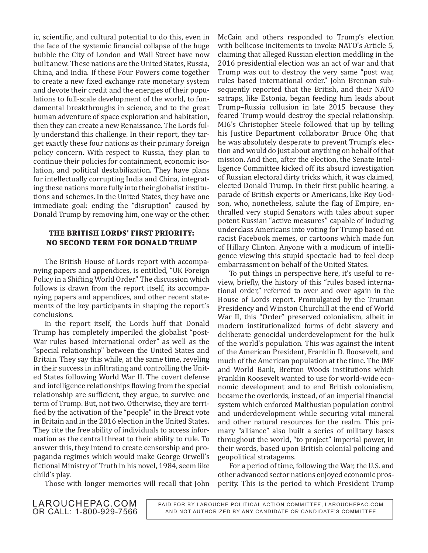ic, scientific, and cultural potential to do this, even in the face of the systemic financial collapse of the huge bubble the City of London and Wall Street have now built anew. These nations are the United States, Russia, China, and India. If these Four Powers come together to create a new fixed exchange rate monetary system and devote their credit and the energies of their populations to full-scale development of the world, to fundamental breakthroughs in science, and to the great human adventure of space exploration and habitation, then they can create a new Renaissance. The Lords fully understand this challenge. In their report, they target exactly these four nations as their primary foreign policy concern. With respect to Russia, they plan to continue their policies for containment, economic isolation, and political destabilization. They have plans for intellectually corrupting India and China, integrating these nations more fully into their globalist institutions and schemes. In the United States, they have one immediate goal: ending the "disruption" caused by Donald Trump by removing him, one way or the other.

#### **THE BRITISH LORDS' FIRST PRIORITY: NO SECOND TERM FOR DONALD TRUMP**

The British House of Lords report with accompanying papers and appendices, is entitled, "UK Foreign Policy in a Shifting World Order." The discussion which follows is drawn from the report itself, its accompanying papers and appendices, and other recent statements of the key participants in shaping the report's conclusions.

In the report itself, the Lords huff that Donald Trump has completely imperiled the globalist "post-War rules based International order" as well as the "special relationship" between the United States and Britain. They say this while, at the same time, reveling in their success in infiltrating and controlling the United States following World War II. The covert defense and intelligence relationships flowing from the special relationship are sufficient, they argue, to survive one term of Trump. But, not two. Otherwise, they are terrified by the activation of the "people" in the Brexit vote in Britain and in the 2016 election in the United States. They cite the free ability of individuals to access information as the central threat to their ability to rule. To answer this, they intend to create censorship and propaganda regimes which would make George Orwell's fictional Ministry of Truth in his novel, 1984, seem like child's play.

Those with longer memories will recall that John

McCain and others responded to Trump's election with bellicose incitements to invoke NATO's Article 5, claiming that alleged Russian election meddling in the 2016 presidential election was an act of war and that Trump was out to destroy the very same "post war, rules based international order." John Brennan subsequently reported that the British, and their NATO satraps, like Estonia, began feeding him leads about Trump–Russia collusion in late 2015 because they feared Trump would destroy the special relationship. MI6's Christopher Steele followed that up by telling his Justice Department collaborator Bruce Ohr, that he was absolutely desperate to prevent Trump's election and would do just about anything on behalf of that mission. And then, after the election, the Senate Intelligence Committee kicked off its absurd investigation of Russian electoral dirty tricks which, it was claimed, elected Donald Trump. In their first public hearing, a parade of British experts or Americans, like Roy Godson, who, nonetheless, salute the flag of Empire, enthralled very stupid Senators with tales about super potent Russian "active measures" capable of inducing underclass Americans into voting for Trump based on racist Facebook memes, or cartoons which made fun of Hillary Clinton. Anyone with a modicum of intelligence viewing this stupid spectacle had to feel deep embarrassment on behalf of the United States.

To put things in perspective here, it's useful to review, briefly, the history of this "rules based international order," referred to over and over again in the House of Lords report. Promulgated by the Truman Presidency and Winston Churchill at the end of World War II, this "Order" preserved colonialism, albeit in modern institutionalized forms of debt slavery and deliberate genocidal underdevelopment for the bulk of the world's population. This was against the intent of the American President, Franklin D. Roosevelt, and much of the American population at the time. The IMF and World Bank, Bretton Woods institutions which Franklin Roosevelt wanted to use for world-wide economic development and to end British colonialism, became the overlords, instead, of an imperial financial system which enforced Malthusian population control and underdevelopment while securing vital mineral and other natural resources for the realm. This primary "alliance" also built a series of military bases throughout the world, "to project" imperial power, in their words, based upon British colonial policing and geopolitical stratagems.

For a period of time, following the War, the U.S. and other advanced sector nations enjoyed economic prosperity. This is the period to which President Trump

LAROUCHEPAC.COM OR CALL: 1-800-929-7566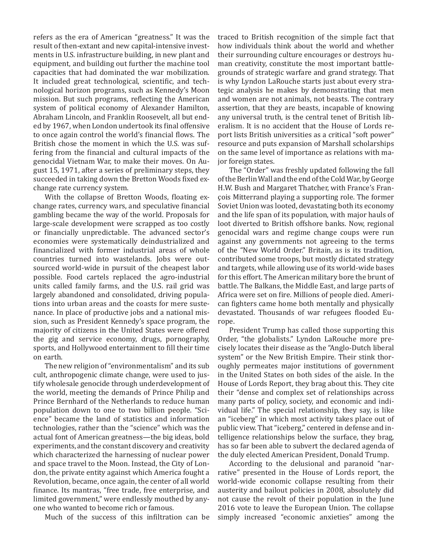refers as the era of American "greatness." It was the result of then-extant and new capital-intensive investments in U.S. infrastructure building, in new plant and equipment, and building out further the machine tool capacities that had dominated the war mobilization. It included great technological, scientific, and technological horizon programs, such as Kennedy's Moon mission. But such programs, reflecting the American system of political economy of Alexander Hamilton, Abraham Lincoln, and Franklin Roosevelt, all but ended by 1967, when London undertook its final offensive to once again control the world's financial flows. The British chose the moment in which the U.S. was suffering from the financial and cultural impacts of the genocidal Vietnam War, to make their moves. On August 15, 1971, after a series of preliminary steps, they succeeded in taking down the Bretton Woods fixed exchange rate currency system.

With the collapse of Bretton Woods, floating exchange rates, currency wars, and speculative financial gambling became the way of the world. Proposals for large-scale development were scrapped as too costly or financially unpredictable. The advanced sector's economies were systematically deindustrialized and financialized with former industrial areas of whole countries turned into wastelands. Jobs were outsourced world-wide in pursuit of the cheapest labor possible. Food cartels replaced the agro-industrial units called family farms, and the U.S. rail grid was largely abandoned and consolidated, driving populations into urban areas and the coasts for mere sustenance. In place of productive jobs and a national mission, such as President Kennedy's space program, the majority of citizens in the United States were offered the gig and service economy, drugs, pornography, sports, and Hollywood entertainment to fill their time on earth.

The new religion of "environmentalism" and its sub cult, anthropogenic climate change, were used to justify wholesale genocide through underdevelopment of the world, meeting the demands of Prince Philip and Prince Bernhard of the Netherlands to reduce human population down to one to two billion people. "Science" became the land of statistics and information technologies, rather than the "science" which was the actual font of American greatness—the big ideas, bold experiments, and the constant discovery and creativity which characterized the harnessing of nuclear power and space travel to the Moon. Instead, the City of London, the private entity against which America fought a Revolution, became, once again, the center of all world finance. Its mantras, "free trade, free enterprise, and limited government," were endlessly mouthed by anyone who wanted to become rich or famous.

Much of the success of this infiltration can be

traced to British recognition of the simple fact that how individuals think about the world and whether their surrounding culture encourages or destroys human creativity, constitute the most important battlegrounds of strategic warfare and grand strategy. That is why Lyndon LaRouche starts just about every strategic analysis he makes by demonstrating that men and women are not animals, not beasts. The contrary assertion, that they are beasts, incapable of knowing any universal truth, is the central tenet of British liberalism. It is no accident that the House of Lords report lists British universities as a critical "soft power" resource and puts expansion of Marshall scholarships on the same level of importance as relations with major foreign states.

The "Order" was freshly updated following the fall of the Berlin Wall and the end of the Cold War, by George H.W. Bush and Margaret Thatcher, with France's François Mitterrand playing a supporting role. The former Soviet Union was looted, devastating both its economy and the life span of its population, with major hauls of loot diverted to British offshore banks. Now, regional genocidal wars and regime change coups were run against any governments not agreeing to the terms of the "New World Order." Britain, as is its tradition, contributed some troops, but mostly dictated strategy and targets, while allowing use of its world-wide bases for this effort. The American military bore the brunt of battle. The Balkans, the Middle East, and large parts of Africa were set on fire. Millions of people died. American fighters came home both mentally and physically devastated. Thousands of war refugees flooded Europe.

President Trump has called those supporting this Order, "the globalists." Lyndon LaRouche more precisely locates their disease as the "Anglo-Dutch liberal system" or the New British Empire. Their stink thoroughly permeates major institutions of government in the United States on both sides of the aisle. In the House of Lords Report, they brag about this. They cite their "dense and complex set of relationships across many parts of policy, society, and economic and individual life." The special relationship, they say, is like an "iceberg" in which most activity takes place out of public view. That "iceberg," centered in defense and intelligence relationships below the surface, they brag, has so far been able to subvert the declared agenda of the duly elected American President, Donald Trump.

According to the delusional and paranoid "narrative" presented in the House of Lords report, the world-wide economic collapse resulting from their austerity and bailout policies in 2008, absolutely did not cause the revolt of their population in the June 2016 vote to leave the European Union. The collapse simply increased "economic anxieties" among the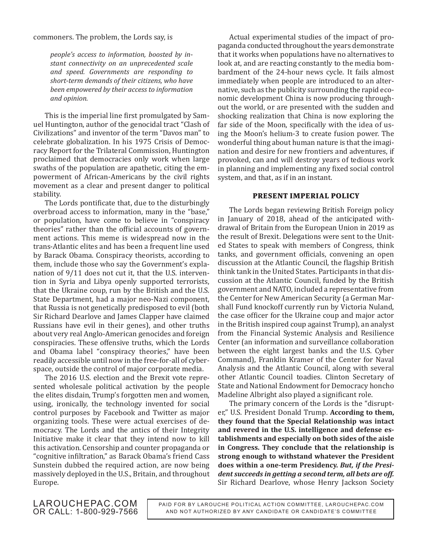*people's access to information, boosted by instant connectivity on an unprecedented scale and speed. Governments are responding to short-term demands of their citizens, who have been empowered by their access to information and opinion.*

This is the imperial line first promulgated by Samuel Huntington, author of the genocidal tract "Clash of Civilizations" and inventor of the term "Davos man" to celebrate globalization. In his 1975 Crisis of Democracy Report for the Trilateral Commission, Huntington proclaimed that democracies only work when large swaths of the population are apathetic, citing the empowerment of African-Americans by the civil rights movement as a clear and present danger to political stability.

The Lords pontificate that, due to the disturbingly overbroad access to information, many in the "base," or population, have come to believe in "conspiracy theories" rather than the official accounts of government actions. This meme is widespread now in the trans-Atlantic elites and has been a frequent line used by Barack Obama. Conspiracy theorists, according to them, include those who say the Government's explanation of 9/11 does not cut it, that the U.S. intervention in Syria and Libya openly supported terrorists, that the Ukraine coup, run by the British and the U.S. State Department, had a major neo-Nazi component, that Russia is not genetically predisposed to evil (both Sir Richard Dearlove and James Clapper have claimed Russians have evil in their genes), and other truths about very real Anglo-American genocides and foreign conspiracies. These offensive truths, which the Lords and Obama label "conspiracy theories," have been readily accessible until now in the free-for-all of cyberspace, outside the control of major corporate media.

The 2016 U.S. election and the Brexit vote represented wholesale political activation by the people the elites disdain, Trump's forgotten men and women, using, ironically, the technology invented for social control purposes by Facebook and Twitter as major organizing tools. These were actual exercises of democracy. The Lords and the antics of their Integrity Initiative make it clear that they intend now to kill this activation. Censorship and counter propaganda or "cognitive infiltration," as Barack Obama's friend Cass Sunstein dubbed the required action, are now being massively deployed in the U.S., Britain, and throughout Europe.

Actual experimental studies of the impact of propaganda conducted throughout the years demonstrate that it works when populations have no alternatives to look at, and are reacting constantly to the media bombardment of the 24-hour news cycle. It fails almost immediately when people are introduced to an alternative, such as the publicity surrounding the rapid economic development China is now producing throughout the world, or are presented with the sudden and shocking realization that China is now exploring the far side of the Moon, specifically with the idea of using the Moon's helium-3 to create fusion power. The wonderful thing about human nature is that the imagination and desire for new frontiers and adventures, if provoked, can and will destroy years of tedious work in planning and implementing any fixed social control system, and that, as if in an instant.

#### **PRESENT IMPERIAL POLICY**

The Lords began reviewing British Foreign policy in January of 2018, ahead of the anticipated withdrawal of Britain from the European Union in 2019 as the result of Brexit. Delegations were sent to the United States to speak with members of Congress, think tanks, and government officials, convening an open discussion at the Atlantic Council, the flagship British think tank in the United States. Participants in that discussion at the Atlantic Council, funded by the British government and NATO, included a representative from the Center for New American Security (a German Marshall Fund knockoff currently run by Victoria Nuland, the case officer for the Ukraine coup and major actor in the British inspired coup against Trump), an analyst from the Financial Systemic Analysis and Resilience Center (an information and surveillance collaboration between the eight largest banks and the U.S. Cyber Command), Franklin Kramer of the Center for Naval Analysis and the Atlantic Council, along with several other Atlantic Council toadies. Clinton Secretary of State and National Endowment for Democracy honcho Madeline Albright also played a significant role.

The primary concern of the Lords is the "disrupter," U.S. President Donald Trump. **According to them, they found that the Special Relationship was intact and revered in the U.S. intelligence and defense establishments and especially on both sides of the aisle in Congress. They conclude that the relationship is strong enough to withstand whatever the President does within a one-term Presidency.** *But, if the President succeeds in getting a second term, all bets are off.*  Sir Richard Dearlove, whose Henry Jackson Society

LAROUCHEPAC.COM OR CALL: 1-800-929-7566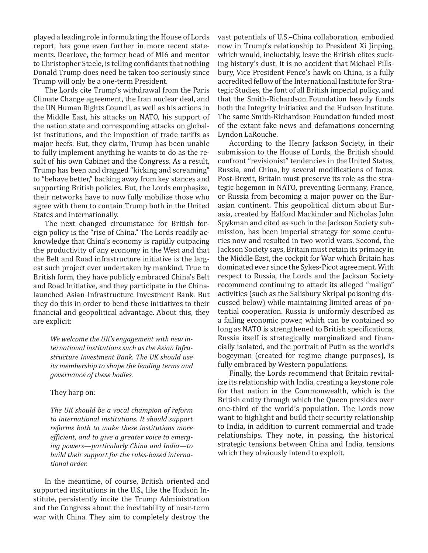played a leading role in formulating the House of Lords report, has gone even further in more recent statements. Dearlove, the former head of MI6 and mentor to Christopher Steele, is telling confidants that nothing Donald Trump does need be taken too seriously since Trump will only be a one-term President.

The Lords cite Trump's withdrawal from the Paris Climate Change agreement, the Iran nuclear deal, and the UN Human Rights Council, as well as his actions in the Middle East, his attacks on NATO, his support of the nation state and corresponding attacks on globalist institutions, and the imposition of trade tariffs as major beefs. But, they claim, Trump has been unable to fully implement anything he wants to do as the result of his own Cabinet and the Congress. As a result, Trump has been and dragged "kicking and screaming" to "behave better," backing away from key stances and supporting British policies. But, the Lords emphasize, their networks have to now fully mobilize those who agree with them to contain Trump both in the United States and internationally.

The next changed circumstance for British foreign policy is the "rise of China." The Lords readily acknowledge that China's economy is rapidly outpacing the productivity of any economy in the West and that the Belt and Road infrastructure initiative is the largest such project ever undertaken by mankind. True to British form, they have publicly embraced China's Belt and Road Initiative, and they participate in the Chinalaunched Asian Infrastructure Investment Bank. But they do this in order to bend these initiatives to their financial and geopolitical advantage. About this, they are explicit:

*We welcome the UK's engagement with new international institutions such as the Asian Infrastructure Investment Bank. The UK should use its membership to shape the lending terms and governance of these bodies.*

#### They harp on:

*The UK should be a vocal champion of reform to international institutions. It should support reforms both to make these institutions more efficient, and to give a greater voice to emerging powers—particularly China and India—to build their support for the rules-based international order.*

In the meantime, of course, British oriented and supported institutions in the U.S., like the Hudson Institute, persistently incite the Trump Administration and the Congress about the inevitability of near-term war with China. They aim to completely destroy the

vast potentials of U.S.–China collaboration, embodied now in Trump's relationship to President Xi Jinping, which would, ineluctably, leave the British elites sucking history's dust. It is no accident that Michael Pillsbury, Vice President Pence's hawk on China, is a fully accredited fellow of the International Institute for Strategic Studies, the font of all British imperial policy, and that the Smith-Richardson Foundation heavily funds both the Integrity Initiative and the Hudson Institute. The same Smith-Richardson Foundation funded most of the extant fake news and defamations concerning Lyndon LaRouche.

According to the Henry Jackson Society, in their submission to the House of Lords, the British should confront "revisionist" tendencies in the United States, Russia, and China, by several modifications of focus. Post-Brexit, Britain must preserve its role as the strategic hegemon in NATO, preventing Germany, France, or Russia from becoming a major power on the Eurasian continent. This geopolitical dictum about Eurasia, created by Halford Mackinder and Nicholas John Spykman and cited as such in the Jackson Society submission, has been imperial strategy for some centuries now and resulted in two world wars. Second, the Jackson Society says, Britain must retain its primacy in the Middle East, the cockpit for War which Britain has dominated ever since the Sykes-Picot agreement. With respect to Russia, the Lords and the Jackson Society recommend continuing to attack its alleged "malign" activities (such as the Salisbury Skripal poisoning discussed below) while maintaining limited areas of potential cooperation. Russia is uniformly described as a failing economic power, which can be contained so long as NATO is strengthened to British specifications, Russia itself is strategically marginalized and financially isolated, and the portrait of Putin as the world's bogeyman (created for regime change purposes), is fully embraced by Western populations.

Finally, the Lords recommend that Britain revitalize its relationship with India, creating a keystone role for that nation in the Commonwealth, which is the British entity through which the Queen presides over one-third of the world's population. The Lords now want to highlight and build their security relationship to India, in addition to current commercial and trade relationships. They note, in passing, the historical strategic tensions between China and India, tensions which they obviously intend to exploit.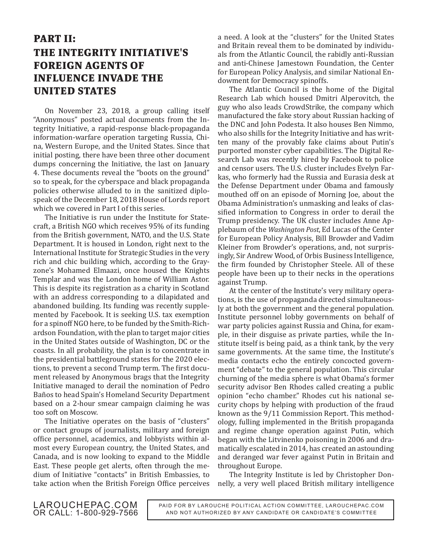### **PART II: THE INTEGRITY INITIATIVE'S FOREIGN AGENTS OF INFLUENCE INVADE THE UNITED STATES**

On November 23, 2018, a group calling itself "Anonymous" posted actual documents from the Integrity Initiative, a rapid-response black-propaganda information-warfare operation targeting Russia, China, Western Europe, and the United States. Since that initial posting, there have been three other document dumps concerning the Initiative, the last on January 4. These documents reveal the "boots on the ground" so to speak, for the cyberspace and black propaganda policies otherwise alluded to in the sanitized diplospeak of the December 18, 2018 House of Lords report which we covered in Part I of this series.

The Initiative is run under the Institute for Statecraft, a British NGO which receives 95% of its funding from the British government, NATO, and the U.S. State Department. It is housed in London, right next to the International Institute for Strategic Studies in the very rich and chic building which, according to the Grayzone's Mohamed Elmaazi, once housed the Knights Templar and was the London home of William Astor. This is despite its registration as a charity in Scotland with an address corresponding to a dilapidated and abandoned building. Its funding was recently supplemented by Facebook. It is seeking U.S. tax exemption for a spinoff NGO here, to be funded by the Smith-Richardson Foundation, with the plan to target major cities in the United States outside of Washington, DC or the coasts. In all probability, the plan is to concentrate in the presidential battleground states for the 2020 elections, to prevent a second Trump term. The first document released by Anonymous brags that the Integrity Initiative managed to derail the nomination of Pedro Baños to head Spain's Homeland Security Department based on a 2-hour smear campaign claiming he was too soft on Moscow.

The Initiative operates on the basis of "clusters" or contact groups of journalists, military and foreign office personnel, academics, and lobbyists within almost every European country, the United States, and Canada, and is now looking to expand to the Middle East. These people get alerts, often through the medium of Initiative "contacts" in British Embassies, to take action when the British Foreign Office perceives a need. A look at the "clusters" for the United States and Britain reveal them to be dominated by individuals from the Atlantic Council, the rabidly anti-Russian and anti-Chinese Jamestown Foundation, the Center for European Policy Analysis, and similar National Endowment for Democracy spinoffs.

The Atlantic Council is the home of the Digital Research Lab which housed Dmitri Alperovitch, the guy who also leads CrowdStrike, the company which manufactured the fake story about Russian hacking of the DNC and John Podesta. It also houses Ben Nimmo, who also shills for the Integrity Initiative and has written many of the provably fake claims about Putin's purported monster cyber capabilities. The Digital Research Lab was recently hired by Facebook to police and censor users. The U.S. cluster includes Evelyn Farkas, who formerly had the Russia and Eurasia desk at the Defense Department under Obama and famously mouthed off on an episode of Morning Joe, about the Obama Administration's unmasking and leaks of classified information to Congress in order to derail the Trump presidency. The UK cluster includes Anne Applebaum of the *Washington Post*, Ed Lucas of the Center for European Policy Analysis, Bill Browder and Vadim Kleiner from Browder's operations, and, not surprisingly, Sir Andrew Wood, of Orbis Business Intelligence, the firm founded by Christopher Steele. All of these people have been up to their necks in the operations against Trump.

At the center of the Institute's very military operations, is the use of propaganda directed simultaneously at both the government and the general population. Institute personnel lobby governments on behalf of war party policies against Russia and China, for example, in their disguise as private parties, while the Institute itself is being paid, as a think tank, by the very same governments. At the same time, the Institute's media contacts echo the entirely concocted government "debate" to the general population. This circular churning of the media sphere is what Obama's former security advisor Ben Rhodes called creating a public opinion "echo chamber." Rhodes cut his national security chops by helping with production of the fraud known as the 9/11 Commission Report. This methodology, fulling implemented in the British propaganda and regime change operation against Putin, which began with the Litvinenko poisoning in 2006 and dramatically escalated in 2014, has created an astounding and deranged war fever against Putin in Britain and throughout Europe.

The Integrity Institute is led by Christopher Donnelly, a very well placed British military intelligence

LAROUCHEPAC.COM OR CALL: 1-800-929-7566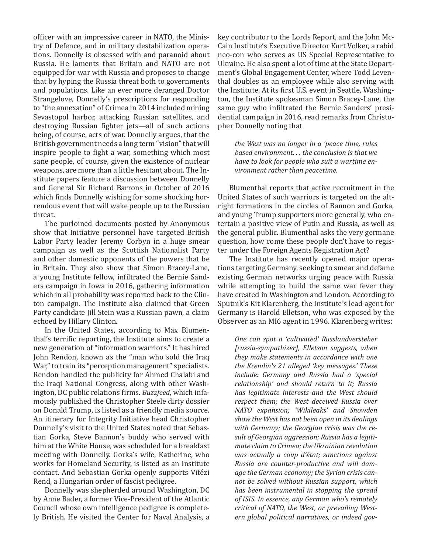officer with an impressive career in NATO, the Ministry of Defence, and in military destabilization operations. Donnelly is obsessed with and paranoid about Russia. He laments that Britain and NATO are not equipped for war with Russia and proposes to change that by hyping the Russia threat both to governments and populations. Like an ever more deranged Doctor Strangelove, Donnelly's prescriptions for responding to "the annexation" of Crimea in 2014 included mining Sevastopol harbor, attacking Russian satellites, and destroying Russian fighter jets—all of such actions being, of course, acts of war. Donnelly argues, that the British government needs a long term "vision" that will inspire people to fight a war, something which most sane people, of course, given the existence of nuclear weapons, are more than a little hesitant about. The Institute papers feature a discussion between Donnelly and General Sir Richard Barrons in October of 2016 which finds Donnelly wishing for some shocking horrendous event that will wake people up to the Russian threat.

The purloined documents posted by Anonymous show that Initiative personnel have targeted British Labor Party leader Jeremy Corbyn in a huge smear campaign as well as the Scottish Nationalist Party and other domestic opponents of the powers that be in Britain. They also show that Simon Bracey-Lane, a young Institute fellow, infiltrated the Bernie Sanders campaign in Iowa in 2016, gathering information which in all probability was reported back to the Clinton campaign. The Institute also claimed that Green Party candidate Jill Stein was a Russian pawn, a claim echoed by Hillary Clinton.

In the United States, according to Max Blumenthal's terrific reporting, the Institute aims to create a new generation of "information warriors." It has hired John Rendon, known as the "man who sold the Iraq War," to train its "perception management" specialists. Rendon handled the publicity for Ahmed Chalabi and the Iraqi National Congress, along with other Washington, DC public relations firms. *Buzzfeed*, which infamously published the Christopher Steele dirty dossier on Donald Trump, is listed as a friendly media source. An itinerary for Integrity Initiative head Christopher Donnelly's visit to the United States noted that Sebastian Gorka, Steve Bannon's buddy who served with him at the White House, was scheduled for a breakfast meeting with Donnelly. Gorka's wife, Katherine, who works for Homeland Security, is listed as an Institute contact. And Sebastian Gorka openly supports Vitézi Rend, a Hungarian order of fascist pedigree.

Donnelly was shepherded around Washington, DC by Anne Bader, a former Vice-President of the Atlantic Council whose own intelligence pedigree is completely British. He visited the Center for Naval Analysis, a

key contributor to the Lords Report, and the John Mc-Cain Institute's Executive Director Kurt Volker, a rabid neo-con who serves as US Special Representative to Ukraine. He also spent a lot of time at the State Department's Global Engagement Center, where Todd Leventhal doubles as an employee while also serving with the Institute. At its first U.S. event in Seattle, Washington, the Institute spokesman Simon Bracey-Lane, the same guy who infiltrated the Bernie Sanders' presidential campaign in 2016, read remarks from Christopher Donnelly noting that

*the West was no longer in a 'peace time, rules based environment. . . the conclusion is that we have to look for people who suit a wartime environment rather than peacetime.*

Blumenthal reports that active recruitment in the United States of such warriors is targeted on the altright formations in the circles of Bannon and Gorka, and young Trump supporters more generally, who entertain a positive view of Putin and Russia, as well as the general public. Blumenthal asks the very germane question, how come these people don't have to register under the Foreign Agents Registration Act?

The Institute has recently opened major operations targeting Germany, seeking to smear and defame existing German networks urging peace with Russia while attempting to build the same war fever they have created in Washington and London. According to Sputnik's Kit Klarenberg, the Institute's lead agent for Germany is Harold Elletson, who was exposed by the Observer as an MI6 agent in 1996. Klarenberg writes:

*One can spot a 'cultivated' Russlandversteher [russia-sympathizer], Elletson suggests, when they make statements in accordance with one the Kremlin's 21 alleged 'key messages.' These include: Germany and Russia had a 'special relationship' and should return to it; Russia has legitimate interests and the West should respect them; the West deceived Russia over NATO expansion; 'Wikileaks' and Snowden show the West has not been open in its dealings with Germany; the Georgian crisis was the result of Georgian aggression; Russia has a legitimate claim to Crimea; the Ukrainian revolution was actually a coup d'état; sanctions against Russia are counter-productive and will damage the German economy; the Syrian crisis cannot be solved without Russian support, which has been instrumental in stopping the spread of ISIS. In essence, any German who's remotely critical of NATO, the West, or prevailing Western global political narratives, or indeed gov-*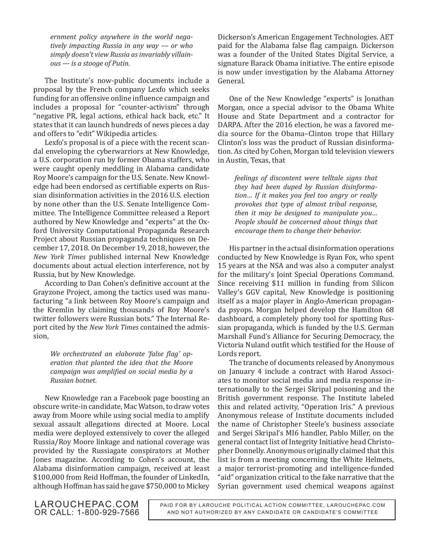*ernment policy anywhere in the world negatively impacting Russia in any way — or who simply doesn't view Russia as invariably villainous — is a stooge of Putin.*

The Institute's now-public documents include a proposal by the French company Lexfo which seeks funding for an offensive online influence campaign and includes a proposal for "counter-activism" through "negative PR, legal actions, ethical hack back, etc." It states that it can launch hundreds of news pieces a day and offers to "edit" Wikipedia articles.

Lexfo's proposal is of a piece with the recent scandal enveloping the cyberwarriors at New Knowledge, a U.S. corporation run by former Obama staffers, who were caught openly meddling in Alabama candidate Roy Moore's campaign for the U.S. Senate. New Knowledge had been endorsed as certifiable experts on Russian disinformation activities in the 2016 U.S. election by none other than the U.S. Senate Intelligence Committee. The Intelligence Committee released a Report authored by New Knowledge and "experts" at the Oxford University Computational Propaganda Research Project about Russian propaganda techniques on December 17, 2018. On December 19, 2018, however, the *New York Times* published internal New Knowledge documents about actual election interference, not by Russia, but by New Knowledge.

According to Dan Cohen's definitive account at the Grayzone Project, among the tactics used was manufacturing "a link between Roy Moore's campaign and the Kremlin by claiming thousands of Roy Moore's twitter followers were Russian bots." The Internal Report cited by the *New York Times* contained the admission,

*We orchestrated an elaborate 'false flag' operation that planted the idea that the Moore campaign was amplified on social media by a Russian botnet.*

New Knowledge ran a Facebook page boosting an obscure write-in candidate, Mac Watson, to draw votes away from Moore while using social media to amplify sexual assault allegations directed at Moore. Local media were deployed extensively to cover the alleged Russia/Roy Moore linkage and national coverage was provided by the Russiagate conspirators at Mother Jones magazine. According to Cohen's account, the Alabama disinformation campaign, received at least \$100,000 from Reid Hoffman, the founder of LinkedIn, although Hoffman has said he gave \$750,000 to Mickey

Dickerson's American Engagement Technologies. AET paid for the Alabama false flag campaign. Dickerson was a founder of the United States Digital Service, a signature Barack Obama initiative. The entire episode is now under investigation by the Alabama Attorney General.

One of the New Knowledge "experts" is Jonathan Morgan, once a special advisor to the Obama White House and State Department and a contractor for DARPA. After the 2016 election, he was a favored media source for the Obama–Clinton trope that Hillary Clinton's loss was the product of Russian disinformation. As cited by Cohen, Morgan told television viewers in Austin, Texas, that

*feelings of discontent were telltale signs that they had been duped by Russian disinformation… If it makes you feel too angry or really provokes that type of almost tribal response, then it may be designed to manipulate you… People should be concerned about things that encourage them to change their behavior.*

His partner in the actual disinformation operations conducted by New Knowledge is Ryan Fox, who spent 15 years at the NSA and was also a computer analyst for the military's Joint Special Operations Command. Since receiving \$11 million in funding from Silicon Valley's GGV capital, New Knowledge is positioning itself as a major player in Anglo-American propaganda psyops. Morgan helped develop the Hamilton 68 dashboard, a completely phony tool for spotting Russian propaganda, which is funded by the U.S. German Marshall Fund's Alliance for Securing Democracy, the Victoria Nuland outfit which testified for the House of Lords report.

The tranche of documents released by Anonymous on January 4 include a contract with Harod Associates to monitor social media and media response internationally to the Sergei Skripal poisoning and the British government response. The Institute labeled this and related activity, "Operation Iris." A previous Anonymous release of Institute documents included the name of Christopher Steele's business associate and Sergei Skripal's MI6 handler, Pablo Miller, on the general contact list of Integrity Initiative head Christopher Donnelly. Anonymous originally claimed that this list is from a meeting concerning the White Helmets, a major terrorist-promoting and intelligence-funded "aid" organization critical to the fake narrative that the Syrian government used chemical weapons against

LAROUCHEPAC.COM OR CALL: 1-800-929-7566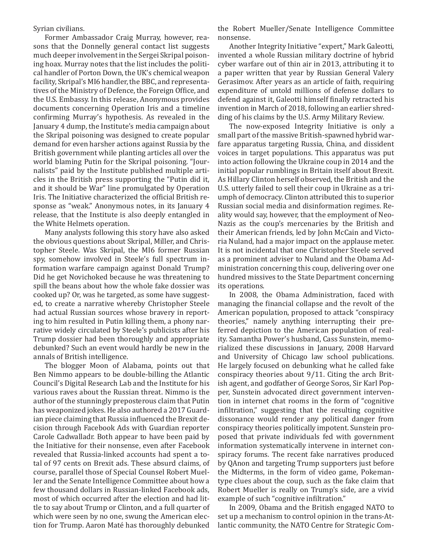Syrian civilians.

Former Ambassador Craig Murray, however, reasons that the Donnelly general contact list suggests much deeper involvement in the Sergei Skripal poisoning hoax. Murray notes that the list includes the political handler of Porton Down, the UK's chemical weapon facility, Skripal's MI6 handler, the BBC, and representatives of the Ministry of Defence, the Foreign Office, and the U.S. Embassy. In this release, Anonymous provides documents concerning Operation Iris and a timeline confirming Murray's hypothesis. As revealed in the January 4 dump, the Institute's media campaign about the Skripal poisoning was designed to create popular demand for even harsher actions against Russia by the British government while planting articles all over the world blaming Putin for the Skripal poisoning. "Journalists" paid by the Institute published multiple articles in the British press supporting the "Putin did it, and it should be War" line promulgated by Operation Iris. The Initiative characterized the official British response as "weak." Anonymous notes, in its January 4 release, that the Institute is also deeply entangled in the White Helmets operation.

Many analysts following this story have also asked the obvious questions about Skripal, Miller, and Christopher Steele. Was Skripal, the MI6 former Russian spy, somehow involved in Steele's full spectrum information warfare campaign against Donald Trump? Did he get Novichoked because he was threatening to spill the beans about how the whole fake dossier was cooked up? Or, was he targeted, as some have suggested, to create a narrative whereby Christopher Steele had actual Russian sources whose bravery in reporting to him resulted in Putin killing them, a phony narrative widely circulated by Steele's publicists after his Trump dossier had been thoroughly and appropriate debunked? Such an event would hardly be new in the annals of British intelligence.

The blogger Moon of Alabama, points out that Ben Nimmo appears to be double-billing the Atlantic Council's Digital Research Lab and the Institute for his various raves about the Russian threat. Nimmo is the author of the stunningly preposterous claim that Putin has weaponized jokes. He also authored a 2017 Guardian piece claiming that Russia influenced the Brexit decision through Facebook Ads with Guardian reporter Carole Cadwalladr. Both appear to have been paid by the Initiative for their nonsense, even after Facebook revealed that Russia-linked accounts had spent a total of 97 cents on Brexit ads. These absurd claims, of course, parallel those of Special Counsel Robert Mueller and the Senate Intelligence Committee about how a few thousand dollars in Russian-linked Facebook ads, most of which occurred after the election and had little to say about Trump or Clinton, and a full quarter of which were seen by no one, swung the American election for Trump. Aaron Maté has thoroughly debunked

the Robert Mueller/Senate Intelligence Committee nonsense.

Another Integrity Initiative "expert," Mark Galeotti, invented a whole Russian military doctrine of hybrid cyber warfare out of thin air in 2013, attributing it to a paper written that year by Russian General Valery Gerasimov. After years as an article of faith, requiring expenditure of untold millions of defense dollars to defend against it, Galeotti himself finally retracted his invention in March of 2018, following an earlier shredding of his claims by the U.S. Army Military Review.

The now-exposed Integrity Initiative is only a small part of the massive British-spawned hybrid warfare apparatus targeting Russia, China, and dissident voices in target populations. This apparatus was put into action following the Ukraine coup in 2014 and the initial popular rumblings in Britain itself about Brexit. As Hillary Clinton herself observed, the British and the U.S. utterly failed to sell their coup in Ukraine as a triumph of democracy. Clinton attributed this to superior Russian social media and disinformation regimes. Reality would say, however, that the employment of Neo-Nazis as the coup's mercenaries by the British and their American friends, led by John McCain and Victoria Nuland, had a major impact on the applause meter. It is not incidental that one Christopher Steele served as a prominent adviser to Nuland and the Obama Administration concerning this coup, delivering over one hundred missives to the State Department concerning its operations.

In 2008, the Obama Administration, faced with managing the financial collapse and the revolt of the American population, proposed to attack "conspiracy theories," namely anything interrupting their preferred depiction to the American population of reality. Samantha Power's husband, Cass Sunstein, memorialized these discussions in January, 2008 Harvard and University of Chicago law school publications. He largely focused on debunking what he called fake conspiracy theories about 9/11. Citing the arch British agent, and godfather of George Soros, Sir Karl Popper, Sunstein advocated direct government intervention in internet chat rooms in the form of "cognitive infiltration," suggesting that the resulting cognitive dissonance would render any political danger from conspiracy theories politically impotent. Sunstein proposed that private individuals fed with government information systematically intervene in internet conspiracy forums. The recent fake narratives produced by QAnon and targeting Trump supporters just before the Midterms, in the form of video game, Pokemantype clues about the coup, such as the fake claim that Robert Mueller is really on Trump's side, are a vivid example of such "cognitive infiltration."

In 2009, Obama and the British engaged NATO to set up a mechanism to control opinion in the trans-Atlantic community, the NATO Centre for Strategic Com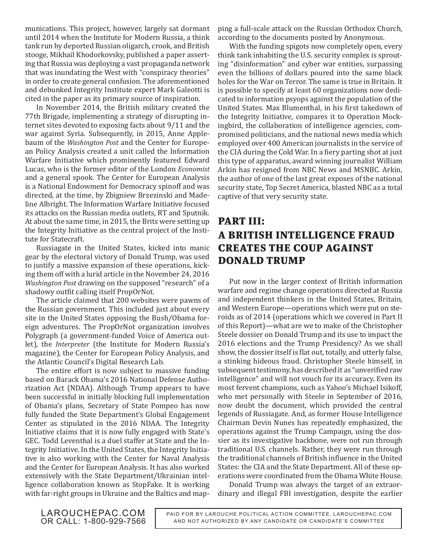munications. This project, however, largely sat dormant until 2014 when the Institute for Modern Russia, a think tank run by deported Russian oligarch, crook, and British stooge, Mikhail Khodorkovsky, published a paper asserting that Russia was deploying a vast propaganda network that was inundating the West with "conspiracy theories" in order to create general confusion. The aforementioned and debunked Integrity Institute expert Mark Galeotti is cited in the paper as its primary source of inspiration.

In November 2014, the British military created the 77th Brigade, implementing a strategy of disrupting internet sites devoted to exposing facts about 9/11 and the war against Syria. Subsequently, in 2015, Anne Applebaum of the *Washington Post* and the Center for European Policy Analysis created a unit called the Information Warfare Initiative which prominently featured Edward Lucas, who is the former editor of the London *Economist* and a general spook. The Center for European Analysis is a National Endowment for Democracy spinoff and was directed, at the time, by Zbigniew Brzezinski and Madeline Albright. The Information Warfare Initiative focused its attacks on the Russian media outlets, RT and Sputnik. At about the same time, in 2015, the Brits were setting up the Integrity Initiative as the central project of the Institute for Statecraft.

Russiagate in the United States, kicked into manic gear by the electoral victory of Donald Trump, was used to justify a massive expansion of these operations, kicking them off with a lurid article in the November 24, 2016 *Washington Post* drawing on the supposed "research" of a shadowy outfit calling itself PropOrNot.

The article claimed that 200 websites were pawns of the Russian government. This included just about every site in the United States opposing the Bush/Obama foreign adventures. The PropOrNot organization involves Polygraph (a government-funded Voice of America outlet), the *Interpreter* (the Institute for Modern Russia's magazine), the Center for European Policy Analysis, and the Atlantic Council's Digital Research Lab.

The entire effort is now subject to massive funding based on Barack Obama's 2016 National Defense Authorization Act (NDAA). Although Trump appears to have been successful in initially blocking full implementation of Obama's plans, Secretary of State Pompeo has now fully funded the State Department's Global Engagement Center as stipulated in the 2016 NDAA. The Integrity Initiative claims that it is now fully engaged with State's GEC. Todd Leventhal is a duel staffer at State and the Integrity Initiative. In the United States, the Integrity Initiative is also working with the Center for Naval Analysis and the Center for European Analysis. It has also worked extensively with the State Department/Ukrainian intelligence collaboration known as StopFake. It is working with far-right groups in Ukraine and the Baltics and mapping a full-scale attack on the Russian Orthodox Church, according to the documents posted by Anonymous.

With the funding spigots now completely open, every think tank inhabiting the U.S. security complex is sprouting "disinformation" and cyber war entities, surpassing even the billions of dollars poured into the same black holes for the War on Terror. The same is true in Britain. It is possible to specify at least 60 organizations now dedicated to information psyops against the population of the United States. Max Blumenthal, in his first takedown of the Integrity Initiative, compares it to Operation Mockingbird, the collaboration of intelligence agencies, compromised politicians, and the national news media which employed over 400 American journalists in the service of the CIA during the Cold War. In a fiery parting shot at just this type of apparatus, award winning journalist William Arkin has resigned from NBC News and MSNBC. Arkin, the author of one of the last great exposes of the national security state, Top Secret America, blasted NBC as a total captive of that very security state.

## **PART III: A BRITISH INTELLIGENCE FRAUD CREATES THE COUP AGAINST DONALD TRUMP**

Put now in the larger context of British information warfare and regime change operations directed at Russia and independent thinkers in the United States, Britain, and Western Europe—operations which were put on steroids as of 2014 (operations which we covered in Part II of this Report)—what are we to make of the Christopher Steele dossier on Donald Trump and its use to impact the 2016 elections and the Trump Presidency? As we shall show, the dossier itself is flat out, totally, and utterly false, a stinking hideous fraud. Christopher Steele himself, in subsequent testimony, has described it as "unverified raw intelligence" and will not vouch for its accuracy. Even its most fervent champions, such as Yahoo's Michael Isikoff, who met personally with Steele in September of 2016, now doubt the document, which provided the central legends of Russiagate. And, as former House Intelligence Chairman Devin Nunes has repeatedly emphasized, the operations against the Trump Campaign, using the dossier as its investigative backbone, were not run through traditional U.S. channels. Rather, they were run through the traditional channels of British influence in the United States: the CIA and the State Department. All of these operations were coordinated from the Obama White House.

Donald Trump was always the target of an extraordinary and illegal FBI investigation, despite the earlier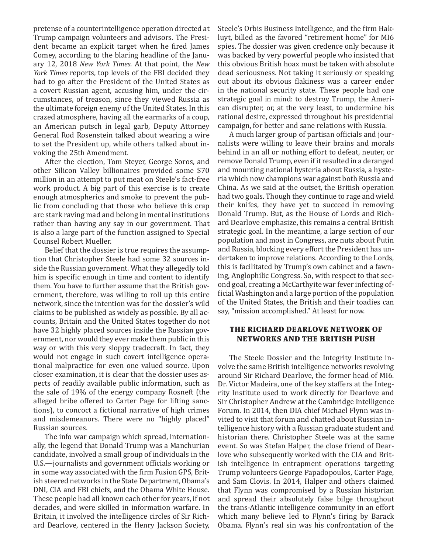pretense of a counterintelligence operation directed at Trump campaign volunteers and advisors. The President became an explicit target when he fired James Comey, according to the blaring headline of the January 12, 2018 *New York Times*. At that point, the *New York Times* reports, top levels of the FBI decided they had to go after the President of the United States as a covert Russian agent, accusing him, under the circumstances, of treason, since they viewed Russia as the ultimate foreign enemy of the United States. In this crazed atmosphere, having all the earmarks of a coup, an American putsch in legal garb, Deputy Attorney General Rod Rosenstein talked about wearing a wire to set the President up, while others talked about invoking the 25th Amendment.

After the election, Tom Steyer, George Soros, and other Silicon Valley billionaires provided some \$70 million in an attempt to put meat on Steele's fact-free work product. A big part of this exercise is to create enough atmospherics and smoke to prevent the public from concluding that those who believe this crap are stark raving mad and belong in mental institutions rather than having any say in our government. That is also a large part of the function assigned to Special Counsel Robert Mueller.

Belief that the dossier is true requires the assumption that Christopher Steele had some 32 sources inside the Russian government. What they allegedly told him is specific enough in time and content to identify them. You have to further assume that the British government, therefore, was willing to roll up this entire network, since the intention was for the dossier's wild claims to be published as widely as possible. By all accounts, Britain and the United States together do not have 32 highly placed sources inside the Russian government, nor would they ever make them public in this way or with this very sloppy tradecraft. In fact, they would not engage in such covert intelligence operational malpractice for even one valued source. Upon closer examination, it is clear that the dossier uses aspects of readily available public information, such as the sale of 19% of the energy company Rosneft (the alleged bribe offered to Carter Page for lifting sanctions), to concoct a fictional narrative of high crimes and misdemeanors. There were no "highly placed" Russian sources.

The info war campaign which spread, internationally, the legend that Donald Trump was a Manchurian candidate, involved a small group of individuals in the U.S.—journalists and government officials working or in some way associated with the firm Fusion GPS, British steered networks in the State Department, Obama's DNI, CIA and FBI chiefs, and the Obama White House. These people had all known each other for years, if not decades, and were skilled in information warfare. In Britain, it involved the intelligence circles of Sir Richard Dearlove, centered in the Henry Jackson Society,

Steele's Orbis Business Intelligence, and the firm Hakluyt, billed as the favored "retirement home" for MI6 spies. The dossier was given credence only because it was backed by very powerful people who insisted that this obvious British hoax must be taken with absolute dead seriousness. Not taking it seriously or speaking out about its obvious flakiness was a career ender in the national security state. These people had one strategic goal in mind: to destroy Trump, the American disrupter, or, at the very least, to undermine his rational desire, expressed throughout his presidential campaign, for better and sane relations with Russia.

A much larger group of partisan officials and journalists were willing to leave their brains and morals behind in an all or nothing effort to defeat, neuter, or remove Donald Trump, even if it resulted in a deranged and mounting national hysteria about Russia, a hysteria which now champions war against both Russia and China. As we said at the outset, the British operation had two goals. Though they continue to rage and wield their knifes, they have yet to succeed in removing Donald Trump. But, as the House of Lords and Richard Dearlove emphasize, this remains a central British strategic goal. In the meantime, a large section of our population and most in Congress, are nuts about Putin and Russia, blocking every effort the President has undertaken to improve relations. According to the Lords, this is facilitated by Trump's own cabinet and a fawning, Anglophilic Congress. So, with respect to that second goal, creating a McCarthyite war fever infecting official Washington and a large portion of the population of the United States, the British and their toadies can say, "mission accomplished." At least for now.

#### **THE RICHARD DEARLOVE NETWORK OF NETWORKS AND THE BRITISH PUSH**

The Steele Dossier and the Integrity Institute involve the same British intelligence networks revolving around Sir Richard Dearlove, the former head of MI6. Dr. Victor Madeira, one of the key staffers at the Integrity Institute used to work directly for Dearlove and Sir Christopher Andrew at the Cambridge Intelligence Forum. In 2014, then DIA chief Michael Flynn was invited to visit that forum and chatted about Russian intelligence history with a Russian graduate student and historian there. Christopher Steele was at the same event. So was Stefan Halper, the close friend of Dearlove who subsequently worked with the CIA and British intelligence in entrapment operations targeting Trump volunteers George Papadopoulos, Carter Page, and Sam Clovis. In 2014, Halper and others claimed that Flynn was compromised by a Russian historian and spread their absolutely false bilge throughout the trans-Atlantic intelligence community in an effort which many believe led to Flynn's firing by Barack Obama. Flynn's real sin was his confrontation of the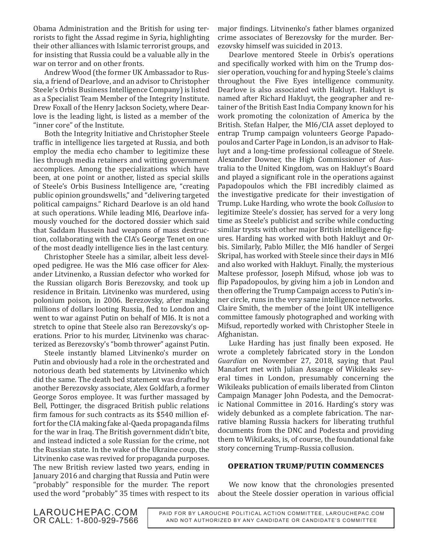Obama Administration and the British for using terrorists to fight the Assad regime in Syria, highlighting their other alliances with Islamic terrorist groups, and for insisting that Russia could be a valuable ally in the war on terror and on other fronts.

Andrew Wood (the former UK Ambassador to Russia, a friend of Dearlove, and an advisor to Christopher Steele's Orbis Business Intelligence Company) is listed as a Specialist Team Member of the Integrity Institute. Drew Foxall of the Henry Jackson Society, where Dearlove is the leading light, is listed as a member of the "inner core" of the Institute.

Both the Integrity Initiative and Christopher Steele traffic in intelligence lies targeted at Russia, and both employ the media echo chamber to legitimize these lies through media retainers and witting government accomplices. Among the specializations which have been, at one point or another, listed as special skills of Steele's Orbis Business Intelligence are, "creating public opinion groundswells," and "delivering targeted political campaigns." Richard Dearlove is an old hand at such operations. While leading MI6, Dearlove infamously vouched for the doctored dossier which said that Saddam Hussein had weapons of mass destruction, collaborating with the CIA's George Tenet on one of the most deadly intelligence lies in the last century.

Christopher Steele has a similar, albeit less developed pedigree. He was the MI6 case officer for Alexander Litvinenko, a Russian defector who worked for the Russian oligarch Boris Berezovsky, and took up residence in Britain. Litvinenko was murdered, using polonium poison, in 2006. Berezovsky, after making millions of dollars looting Russia, fled to London and went to war against Putin on behalf of MI6. It is not a stretch to opine that Steele also ran Berezovsky's operations. Prior to his murder, Litvinenko was characterized as Berezovsky's "bomb thrower" against Putin.

Steele instantly blamed Litvinenko's murder on Putin and obviously had a role in the orchestrated and notorious death bed statements by Litvinenko which did the same. The death bed statement was drafted by another Berezovsky associate, Alex Goldfarb, a former George Soros employee. It was further massaged by Bell, Pottinger, the disgraced British public relations firm famous for such contracts as its \$540 million effort for the CIA making fake al-Qaeda propaganda films for the war in Iraq. The British government didn't bite, and instead indicted a sole Russian for the crime, not the Russian state. In the wake of the Ukraine coup, the Litvinenko case was revived for propaganda purposes. The new British review lasted two years, ending in January 2016 and charging that Russia and Putin were "probably" responsible for the murder. The report used the word "probably" 35 times with respect to its

major findings. Litvinenko's father blames organized crime associates of Berezovsky for the murder. Berezovsky himself was suicided in 2013.

Dearlove mentored Steele in Orbis's operations and specifically worked with him on the Trump dossier operation, vouching for and hyping Steele's claims throughout the Five Eyes intelligence community. Dearlove is also associated with Hakluyt. Hakluyt is named after Richard Hakluyt, the geographer and retainer of the British East India Company known for his work promoting the colonization of America by the British. Stefan Halper, the MI6/CIA asset deployed to entrap Trump campaign volunteers George Papadopoulos and Carter Page in London, is an advisor to Hakluyt and a long-time professional colleague of Steele. Alexander Downer, the High Commissioner of Australia to the United Kingdom, was on Hakluyt's Board and played a significant role in the operations against Papadopoulos which the FBI incredibly claimed as the investigative predicate for their investigation of Trump. Luke Harding, who wrote the book *Collusion* to legitimize Steele's dossier, has served for a very long time as Steele's publicist and scribe while conducting similar trysts with other major British intelligence figures. Harding has worked with both Hakluyt and Orbis. Similarly, Pablo Miller, the MI6 handler of Sergei Skripal, has worked with Steele since their days in MI6 and also worked with Hakluyt. Finally, the mysterious Maltese professor, Joseph Mifsud, whose job was to flip Papadopoulos, by giving him a job in London and then offering the Trump Campaign access to Putin's inner circle, runs in the very same intelligence networks. Claire Smith, the member of the Joint UK intelligence committee famously photographed and working with Mifsud, reportedly worked with Christopher Steele in Afghanistan.

Luke Harding has just finally been exposed. He wrote a completely fabricated story in the London *Guardian* on November 27, 2018, saying that Paul Manafort met with Julian Assange of Wikileaks several times in London, presumably concerning the Wikileaks publication of emails liberated from Clinton Campaign Manager John Podesta, and the Democratic National Committee in 2016. Harding's story was widely debunked as a complete fabrication. The narrative blaming Russia hackers for liberating truthful documents from the DNC and Podesta and providing them to WikiLeaks, is, of course, the foundational fake story concerning Trump-Russia collusion.

#### **OPERATION TRUMP/PUTIN COMMENCES**

We now know that the chronologies presented about the Steele dossier operation in various official

LAROUCHEPAC.COM OR CALL: 1-800-929-7566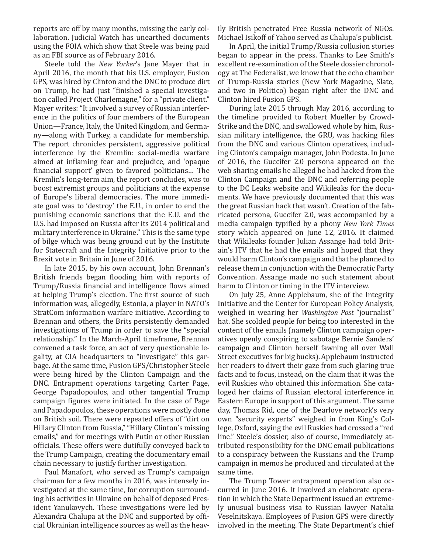reports are off by many months, missing the early collaboration. Judicial Watch has unearthed documents using the FOIA which show that Steele was being paid as an FBI source as of February 2016.

Steele told the *New Yorker*'s Jane Mayer that in April 2016, the month that his U.S. employer, Fusion GPS, was hired by Clinton and the DNC to produce dirt on Trump, he had just "finished a special investigation called Project Charlemagne," for a "private client." Mayer writes: "It involved a survey of Russian interference in the politics of four members of the European Union—France, Italy, the United Kingdom, and Germany—along with Turkey, a candidate for membership. The report chronicles persistent, aggressive political interference by the Kremlin: social-media warfare aimed at inflaming fear and prejudice, and 'opaque financial support' given to favored politicians… The Kremlin's long-term aim, the report concludes, was to boost extremist groups and politicians at the expense of Europe's liberal democracies. The more immediate goal was to 'destroy' the E.U., in order to end the punishing economic sanctions that the E.U. and the U.S. had imposed on Russia after its 2014 political and military interference in Ukraine." This is the same type of bilge which was being ground out by the Institute for Statecraft and the Integrity Initiative prior to the Brexit vote in Britain in June of 2016.

In late 2015, by his own account, John Brennan's British friends began flooding him with reports of Trump/Russia financial and intelligence flows aimed at helping Trump's election. The first source of such information was, allegedly, Estonia, a player in NATO's StratCom information warfare initiative. According to Brennan and others, the Brits persistently demanded investigations of Trump in order to save the "special relationship." In the March-April timeframe, Brennan convened a task force, an act of very questionable legality, at CIA headquarters to "investigate" this garbage. At the same time, Fusion GPS/Christopher Steele were being hired by the Clinton Campaign and the DNC. Entrapment operations targeting Carter Page, George Papadopoulos, and other tangential Trump campaign figures were initiated. In the case of Page and Papadopoulos, these operations were mostly done on British soil. There were repeated offers of "dirt on Hillary Clinton from Russia," "Hillary Clinton's missing emails," and for meetings with Putin or other Russian officials. These offers were dutifully conveyed back to the Trump Campaign, creating the documentary email chain necessary to justify further investigation.

Paul Manafort, who served as Trump's campaign chairman for a few months in 2016, was intensely investigated at the same time, for corruption surrounding his activities in Ukraine on behalf of deposed President Yanukovych. These investigations were led by Alexandra Chalupa at the DNC and supported by official Ukrainian intelligence sources as well as the heavily British penetrated Free Russia network of NGOs. Michael Isikoff of Yahoo served as Chalupa's publicist.

In April, the initial Trump/Russia collusion stories began to appear in the press. Thanks to Lee Smith's excellent re-examination of the Steele dossier chronology at The Federalist, we know that the echo chamber of Trump-Russia stories (New York Magazine, Slate, and two in Politico) began right after the DNC and Clinton hired Fusion GPS.

During late 2015 through May 2016, according to the timeline provided to Robert Mueller by Crowd-Strike and the DNC, and swallowed whole by him, Russian military intelligence, the GRU, was hacking files from the DNC and various Clinton operatives, including Clinton's campaign manager, John Podesta. In June of 2016, the Guccifer 2.0 persona appeared on the web sharing emails he alleged he had hacked from the Clinton Campaign and the DNC and referring people to the DC Leaks website and Wikileaks for the documents. We have previously documented that this was the great Russian hack that wasn't. Creation of the fabricated persona, Guccifer 2.0, was accompanied by a media campaign typified by a phony *New York Times* story which appeared on June 12, 2016. It claimed that Wikileaks founder Julian Assange had told Britain's ITV that he had the emails and hoped that they would harm Clinton's campaign and that he planned to release them in conjunction with the Democratic Party Convention. Assange made no such statement about harm to Clinton or timing in the ITV interview.

On July 25, Anne Applebaum, she of the Integrity Initiative and the Center for European Policy Analysis, weighed in wearing her *Washington Post* "journalist" hat. She scolded people for being too interested in the content of the emails (namely Clinton campaign operatives openly conspiring to sabotage Bernie Sanders' campaign and Clinton herself fawning all over Wall Street executives for big bucks). Applebaum instructed her readers to divert their gaze from such glaring true facts and to focus, instead, on the claim that it was the evil Ruskies who obtained this information. She cataloged her claims of Russian electoral interference in Eastern Europe in support of this argument. The same day, Thomas Rid, one of the Dearlove network's very own "security experts" weighed in from King's College, Oxford, saying the evil Ruskies had crossed a "red line." Steele's dossier, also of course, immediately attributed responsibility for the DNC email publications to a conspiracy between the Russians and the Trump campaign in memos he produced and circulated at the same time.

The Trump Tower entrapment operation also occurred in June 2016. It involved an elaborate operation in which the State Department issued an extremely unusual business visa to Russian lawyer Natalia Veselnitskaya. Employees of Fusion GPS were directly involved in the meeting. The State Department's chief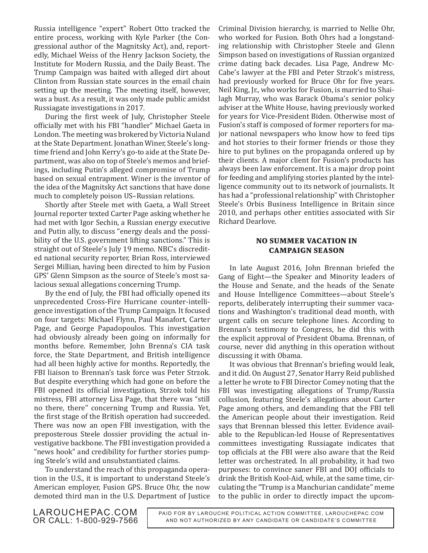Russia intelligence "expert" Robert Otto tracked the entire process, working with Kyle Parker (the Congressional author of the Magnitsky Act), and, reportedly, Michael Weiss of the Henry Jackson Society, the Institute for Modern Russia, and the Daily Beast. The Trump Campaign was baited with alleged dirt about Clinton from Russian state sources in the email chain setting up the meeting. The meeting itself, however, was a bust. As a result, it was only made public amidst Russiagate investigations in 2017.

During the first week of July, Christopher Steele officially met with his FBI "handler" Michael Gaeta in London. The meeting was brokered by Victoria Nuland at the State Department. Jonathan Winer, Steele's longtime friend and John Kerry's go-to aide at the State Department, was also on top of Steele's memos and briefings, including Putin's alleged compromise of Trump based on sexual entrapment. Winer is the inventor of the idea of the Magnitsky Act sanctions that have done much to completely poison US–Russian relations.

Shortly after Steele met with Gaeta, a Wall Street Journal reporter texted Carter Page asking whether he had met with Igor Sechin, a Russian energy executive and Putin ally, to discuss "energy deals and the possibility of the U.S. government lifting sanctions." This is straight out of Steele's July 19 memo. NBC's discredited national security reporter, Brian Ross, interviewed Sergei Millian, having been directed to him by Fusion GPS' Glenn Simpson as the source of Steele's most salacious sexual allegations concerning Trump.

By the end of July, the FBI had officially opened its unprecedented Cross-Fire Hurricane counter-intelligence investigation of the Trump Campaign. It focused on four targets: Michael Flynn, Paul Manafort, Carter Page, and George Papadopoulos. This investigation had obviously already been going on informally for months before. Remember, John Brenna's CIA task force, the State Department, and British intelligence had all been highly active for months. Reportedly, the FBI liaison to Brennan's task force was Peter Strzok. But despite everything which had gone on before the FBI opened its official investigation, Strzok told his mistress, FBI attorney Lisa Page, that there was "still no there, there" concerning Trump and Russia. Yet, the first stage of the British operation had succeeded. There was now an open FBI investigation, with the preposterous Steele dossier providing the actual investigative backbone. The FBI investigation provided a "news hook" and credibility for further stories pumping Steele's wild and unsubstantiated claims.

To understand the reach of this propaganda operation in the U.S., it is important to understand Steele's American employer, Fusion GPS. Bruce Ohr, the now demoted third man in the U.S. Department of Justice

Criminal Division hierarchy, is married to Nellie Ohr, who worked for Fusion. Both Ohrs had a longstanding relationship with Christopher Steele and Glenn Simpson based on investigations of Russian organized crime dating back decades. Lisa Page, Andrew Mc-Cabe's lawyer at the FBI and Peter Strzok's mistress, had previously worked for Bruce Ohr for five years. Neil King, Jr., who works for Fusion, is married to Shailagh Murray, who was Barack Obama's senior policy adviser at the White House, having previously worked for years for Vice-President Biden. Otherwise most of Fusion's staff is composed of former reporters for major national newspapers who know how to feed tips and hot stories to their former friends or those they hire to put bylines on the propaganda ordered up by their clients. A major client for Fusion's products has always been law enforcement. It is a major drop point for feeding and amplifying stories planted by the intelligence community out to its network of journalists. It has had a "professional relationship" with Christopher Steele's Orbis Business Intelligence in Britain since 2010, and perhaps other entities associated with Sir Richard Dearlove.

#### **NO SUMMER VACATION IN CAMPAIGN SEASON**

In late August 2016, John Brennan briefed the Gang of Eight—the Speaker and Minority leaders of the House and Senate, and the heads of the Senate and House Intelligence Committees—about Steele's reports, deliberately interrupting their summer vacations and Washington's traditional dead month, with urgent calls on secure telephone lines. According to Brennan's testimony to Congress, he did this with the explicit approval of President Obama. Brennan, of course, never did anything in this operation without discussing it with Obama.

It was obvious that Brennan's briefing would leak, and it did. On August 27, Senator Harry Reid published a letter he wrote to FBI Director Comey noting that the FBI was investigating allegations of Trump/Russia collusion, featuring Steele's allegations about Carter Page among others, and demanding that the FBI tell the American people about their investigation. Reid says that Brennan blessed this letter. Evidence available to the Republican-led House of Representatives committees investigating Russiagate indicates that top officials at the FBI were also aware that the Reid letter was orchestrated. In all probability, it had two purposes: to convince saner FBI and DOJ officials to drink the British Kool-Aid, while, at the same time, circulating the "Trump is a Manchurian candidate" meme to the public in order to directly impact the upcom-

LAROUCHEPAC.COM OR CALL: 1-800-929-7566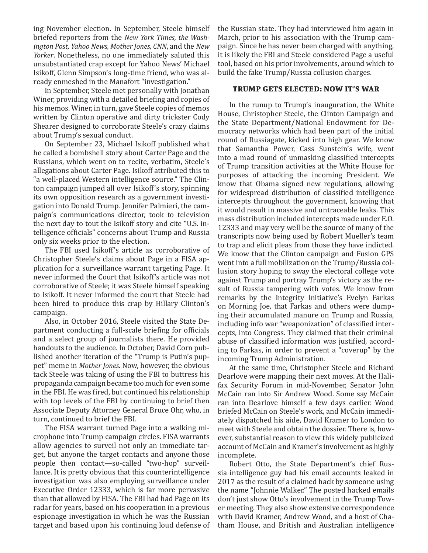ing November election. In September, Steele himself briefed reporters from the *New York Times, the Washington Post, Yahoo News, Mother Jones, CNN*, and the *New Yorker*. Nonetheless, no one immediately saluted this unsubstantiated crap except for Yahoo News' Michael Isikoff, Glenn Simpson's long-time friend, who was already enmeshed in the Manafort "investigation."

In September, Steele met personally with Jonathan Winer, providing with a detailed briefing and copies of his memos. Winer, in turn, gave Steele copies of memos written by Clinton operative and dirty trickster Cody Shearer designed to corroborate Steele's crazy claims about Trump's sexual conduct.

On September 23, Michael Isikoff published what he called a bombshell story about Carter Page and the Russians, which went on to recite, verbatim, Steele's allegations about Carter Page. Isikoff attributed this to "a well-placed Western intelligence source." The Clinton campaign jumped all over Isikoff's story, spinning its own opposition research as a government investigation into Donald Trump. Jennifer Palmieri, the campaign's communications director, took to television the next day to tout the Isikoff story and cite "U.S. intelligence officials" concerns about Trump and Russia only six weeks prior to the election.

The FBI used Isikoff's article as corroborative of Christopher Steele's claims about Page in a FISA application for a surveillance warrant targeting Page. It never informed the Court that Isikoff's article was not corroborative of Steele; it was Steele himself speaking to Isikoff. It never informed the court that Steele had been hired to produce this crap by Hillary Clinton's campaign.

Also, in October 2016, Steele visited the State Department conducting a full-scale briefing for officials and a select group of journalists there. He provided handouts to the audience. In October, David Corn published another iteration of the "Trump is Putin's puppet" meme in *Mother Jones*. Now, however, the obvious tack Steele was taking of using the FBI to buttress his propaganda campaign became too much for even some in the FBI. He was fired, but continued his relationship with top levels of the FBI by continuing to brief then Associate Deputy Attorney General Bruce Ohr, who, in turn, continued to brief the FBI.

The FISA warrant turned Page into a walking microphone into Trump campaign circles. FISA warrants allow agencies to surveil not only an immediate target, but anyone the target contacts and anyone those people then contact—so-called "two-hop" surveillance. It is pretty obvious that this counterintelligence investigation was also employing surveillance under Executive Order 12333, which is far more pervasive than that allowed by FISA. The FBI had had Page on its radar for years, based on his cooperation in a previous espionage investigation in which he was the Russian target and based upon his continuing loud defense of the Russian state. They had interviewed him again in March, prior to his association with the Trump campaign. Since he has never been charged with anything, it is likely the FBI and Steele considered Page a useful tool, based on his prior involvements, around which to build the fake Trump/Russia collusion charges.

#### **TRUMP GETS ELECTED: NOW IT'S WAR**

In the runup to Trump's inauguration, the White House, Christopher Steele, the Clinton Campaign and the State Department/National Endowment for Democracy networks which had been part of the initial round of Russiagate, kicked into high gear. We know that Samantha Power, Cass Sunstein's wife, went into a mad round of unmasking classified intercepts of Trump transition activities at the White House for purposes of attacking the incoming President. We know that Obama signed new regulations, allowing for widespread distribution of classified intelligence intercepts throughout the government, knowing that it would result in massive and untraceable leaks. This mass distribution included intercepts made under E.O. 12333 and may very well be the source of many of the transcripts now being used by Robert Mueller's team to trap and elicit pleas from those they have indicted. We know that the Clinton campaign and Fusion GPS went into a full mobilization on the Trump/Russia collusion story hoping to sway the electoral college vote against Trump and portray Trump's victory as the result of Russia tampering with votes. We know from remarks by the Integrity Initiative's Evelyn Farkas on Morning Joe, that Farkas and others were dumping their accumulated manure on Trump and Russia, including info war "weaponization" of classified intercepts, into Congress. They claimed that their criminal abuse of classified information was justified, according to Farkas, in order to prevent a "coverup" by the incoming Trump Administration.

At the same time, Christopher Steele and Richard Dearlove were mapping their next moves. At the Halifax Security Forum in mid-November, Senator John McCain ran into Sir Andrew Wood. Some say McCain ran into Dearlove himself a few days earlier. Wood briefed McCain on Steele's work, and McCain immediately dispatched his aide, David Kramer to London to meet with Steele and obtain the dossier. There is, however, substantial reason to view this widely publicized account of McCain and Kramer's involvement as highly incomplete.

Robert Otto, the State Department's chief Russia intelligence guy had his email accounts leaked in 2017 as the result of a claimed hack by someone using the name "Johnnie Walker." The posted hacked emails don't just show Otto's involvement in the Trump Tower meeting. They also show extensive correspondence with David Kramer, Andrew Wood, and a host of Chatham House, and British and Australian intelligence